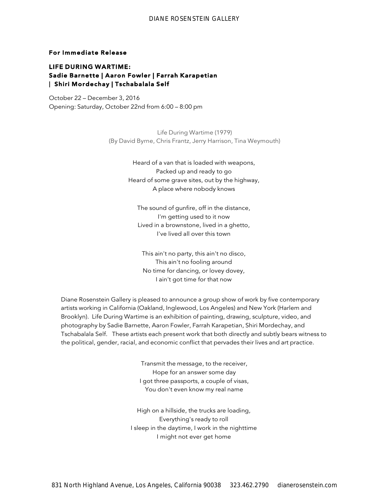## For Immediate Release

# LIFE DURING WARTIME: Sadie Barnette | Aaron Fowler | Farrah Karapetian | Shiri Mordechay | Tschabalala Self

October 22 – December 3, 2016 Opening: Saturday, October 22nd from 6:00 – 8:00 pm

> Life During Wartime (1979) (By David Byrne, Chris Frantz, Jerry Harrison, Tina Weymouth)

> > Heard of a van that is loaded with weapons, Packed up and ready to go Heard of some grave sites, out by the highway, A place where nobody knows

The sound of gunfire, off in the distance, I'm getting used to it now Lived in a brownstone, lived in a ghetto, I've lived all over this town

This ain't no party, this ain't no disco, This ain't no fooling around No time for dancing, or lovey dovey, I ain't got time for that now

Diane Rosenstein Gallery is pleased to announce a group show of work by five contemporary artists working in California (Oakland, Inglewood, Los Angeles) and New York (Harlem and Brooklyn). Life During Wartime is an exhibition of painting, drawing, sculpture, video, and photography by Sadie Barnette, Aaron Fowler, Farrah Karapetian, Shiri Mordechay, and Tschabalala Self. These artists each present work that both directly and subtly bears witness to the political, gender, racial, and economic conflict that pervades their lives and art practice.

> Transmit the message, to the receiver, Hope for an answer some day I got three passports, a couple of visas, You don't even know my real name

High on a hillside, the trucks are loading, Everything's ready to roll I sleep in the daytime, I work in the nighttime I might not ever get home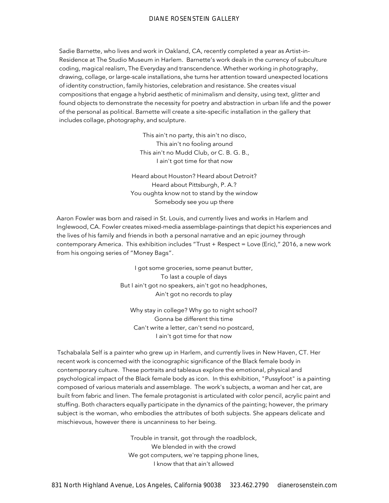Sadie Barnette, who lives and work in Oakland, CA, recently completed a year as Artist-in-Residence at The Studio Museum in Harlem. Barnette's work deals in the currency of subculture coding, magical realism, The Everyday and transcendence. Whether working in photography, drawing, collage, or large-scale installations, she turns her attention toward unexpected locations of identity construction, family histories, celebration and resistance. She creates visual compositions that engage a hybrid aesthetic of minimalism and density, using text, glitter and found objects to demonstrate the necessity for poetry and abstraction in urban life and the power of the personal as political. Barnette will create a site-specific installation in the gallery that includes collage, photography, and sculpture.

> This ain't no party, this ain't no disco, This ain't no fooling around This ain't no Mudd Club, or C. B. G. B., I ain't got time for that now

Heard about Houston? Heard about Detroit? Heard about Pittsburgh, P. A.? You oughta know not to stand by the window Somebody see you up there

Aaron Fowler was born and raised in St. Louis, and currently lives and works in Harlem and Inglewood, CA. Fowler creates mixed-media assemblage-paintings that depict his experiences and the lives of his family and friends in both a personal narrative and an epic journey through contemporary America. This exhibition includes "Trust + Respect = Love (Eric)," 2016, a new work from his ongoing series of "Money Bags".

> I got some groceries, some peanut butter, To last a couple of days But I ain't got no speakers, ain't got no headphones, Ain't got no records to play

Why stay in college? Why go to night school? Gonna be different this time Can't write a letter, can't send no postcard, I ain't got time for that now

Tschabalala Self is a painter who grew up in Harlem, and currently lives in New Haven, CT. Her recent work is concerned with the iconographic significance of the Black female body in contemporary culture. These portraits and tableaus explore the emotional, physical and psychological impact of the Black female body as icon. In this exhibition, "Pussyfoot" is a painting composed of various materials and assemblage. The work's subjects, a woman and her cat, are built from fabric and linen. The female protagonist is articulated with color pencil, acrylic paint and stuffing. Both characters equally participate in the dynamics of the painting; however, the primary subject is the woman, who embodies the attributes of both subjects. She appears delicate and mischievous, however there is uncanniness to her being.

> Trouble in transit, got through the roadblock, We blended in with the crowd We got computers, we're tapping phone lines, I know that that ain't allowed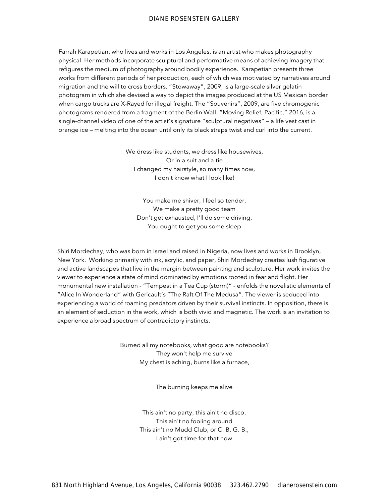Farrah Karapetian, who lives and works in Los Angeles, is an artist who makes photography physical. Her methods incorporate sculptural and performative means of achieving imagery that refigures the medium of photography around bodily experience. Karapetian presents three works from different periods of her production, each of which was motivated by narratives around migration and the will to cross borders. "Stowaway", 2009, is a large-scale silver gelatin photogram in which she devised a way to depict the images produced at the US Mexican border when cargo trucks are X-Rayed for illegal freight. The "Souvenirs", 2009, are five chromogenic photograms rendered from a fragment of the Berlin Wall. "Moving Relief, Pacific," 2016, is a single-channel video of one of the artist's signature "sculptural negatives" – a life vest cast in orange ice – melting into the ocean until only its black straps twist and curl into the current.

> We dress like students, we dress like housewives, Or in a suit and a tie I changed my hairstyle, so many times now, I don't know what I look like!

You make me shiver, I feel so tender, We make a pretty good team Don't get exhausted, I'll do some driving, You ought to get you some sleep

Shiri Mordechay, who was born in Israel and raised in Nigeria, now lives and works in Brooklyn, New York. Working primarily with ink, acrylic, and paper, Shiri Mordechay creates lush figurative and active landscapes that live in the margin between painting and sculpture. Her work invites the viewer to experience a state of mind dominated by emotions rooted in fear and flight. Her monumental new installation - "Tempest in a Tea Cup (storm)" - enfolds the novelistic elements of "Alice In Wonderland" with Gericault's "The Raft Of The Medusa". The viewer is seduced into experiencing a world of roaming predators driven by their survival instincts. In opposition, there is an element of seduction in the work, which is both vivid and magnetic. The work is an invitation to experience a broad spectrum of contradictory instincts.

> Burned all my notebooks, what good are notebooks? They won't help me survive My chest is aching, burns like a furnace,

> > The burning keeps me alive

This ain't no party, this ain't no disco, This ain't no fooling around This ain't no Mudd Club, or C. B. G. B., I ain't got time for that now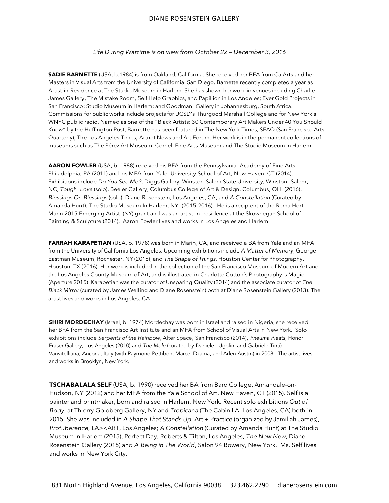Life During Wartime is on view from October 22 – December 3, 2016

SADIE BARNETTE (USA, b.1984) is from Oakland, California. She received her BFA from CalArts and her Masters in Visual Arts from the University of California, San Diego. Barnette recently completed a year as Artist-in-Residence at The Studio Museum in Harlem. She has shown her work in venues including Charlie James Gallery, The Mistake Room, Self Help Graphics, and Papillion in Los Angeles; Ever Gold Projects in San Francisco; Studio Museum in Harlem; and Goodman Gallery in Johannesburg, South Africa. Commissions for public works include projects for UCSD's Thurgood Marshall College and for New York's WNYC public radio. Named as one of the "Black Artists: 30 Contemporary Art Makers Under 40 You Should Know" by the Huffington Post, Barnette has been featured in The New York Times, SFAQ (San Francisco Arts Quarterly), The Los Angeles Times, Artnet News and Art Forum. Her work is in the permanent collections of museums such as The Pérez Art Museum, Cornell Fine Arts Museum and The Studio Museum in Harlem.

AARON FOWLER (USA, b. 1988) received his BFA from the Pennsylvania Academy of Fine Arts, Philadelphia, PA (2011) and his MFA from Yale University School of Art, New Haven, CT (2014). Exhibitions include *Do You See Me?,* Diggs Gallery, Winston-Salem State University, Winston- Salem, NC, *Tough Love* (solo), Beeler Gallery, Columbus College of Art & Design, Columbus, OH (2016), *Blessings On Blessings* (solo), Diane Rosenstein, Los Angeles, CA, and *A Constellation* (Curated by Amanda Hunt), The Studio Museum In Harlem, NY (2015-2016). He is a recipient of the Rema Hort Mann 2015 Emerging Artist (NY) grant and was an artist-in- residence at the Skowhegan School of Painting & Sculpture (2014). Aaron Fowler lives and works in Los Angeles and Harlem.

FARRAH KARAPETIAN (USA, b. 1978) was born in Marin, CA, and received a BA from Yale and an MFA from the University of California Los Angeles. Upcoming exhibitions include *A Matter of Memory*, George Eastman Museum, Rochester, NY (2016); and *The Shape of Things*, Houston Center for Photography, Houston, TX (2016). Her work is included in the collection of the San Francisco Museum of Modern Art and the Los Angeles County Museum of Art, and is illustrated in Charlotte Cotton's Photography is Magic (Aperture 2015). Karapetian was the curator of Unsparing Quality (2014) and the associate curator of *The Black Mirror* (curated by James Welling and Diane Rosenstein) both at Diane Rosenstein Gallery (2013). The artist lives and works in Los Angeles, CA.

**SHIRI MORDECHAY** (Israel, b. 1974) Mordechay was born in Israel and raised in Nigeria, she received her BFA from the San Francisco Art Institute and an MFA from School of Visual Arts in New York. Solo exhibitions include *Serpents of the Rainbow*, Alter Space, San Francisco (2014), Pneuma Pleats, Honor Fraser Gallery, Los Angeles (2010) and The Mole (curated by Daniele Ugolini and Gabriele Tinti) Vanvitelliana, Ancona, Italy (with Raymond Pettibon, Marcel Dzama, and Arlen Austin) in 2008. The artist lives and works in Brooklyn, New York.

TSCHABALALA SELF (USA, b. 1990) received her BA from Bard College, Annandale-on-Hudson, NY (2012) and her MFA from the Yale School of Art, New Haven, CT (2015). Self is a painter and printmaker, born and raised in Harlem, New York. Recent solo exhibitions *Out of Body*, at Thierry Goldberg Gallery, NY and *Tropicana* (The Cabin LA, Los Angeles, CA) both in 2015. She was included in *A Shape That Stands Up*, Art + Practice (organized by Jamillah James), *Protuberence*, LA><ART, Los Angeles; *A Constellation* (Curated by Amanda Hunt) at The Studio Museum in Harlem (2015), Perfect Day, Roberts & Tilton, Los Angeles, *The New New*, Diane Rosenstein Gallery (2015) and *A Being in The World*, Salon 94 Bowery, New York. Ms. Self lives and works in New York City.